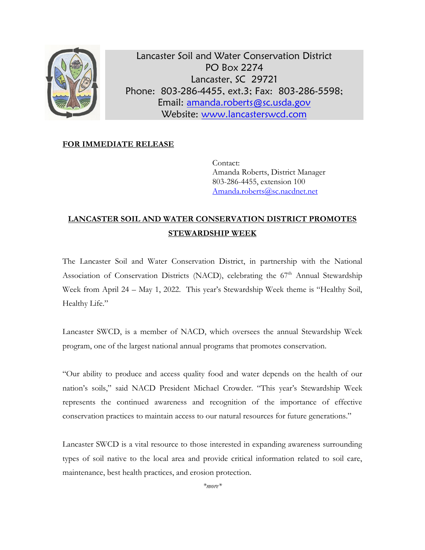

Lancaster Soil and Water Conservation District PO Box 2274 Lancaster, SC 29721 Phone: 803-286-4455, ext.3; Fax: 803-286-5598; Email: [amanda.roberts@sc.usda.gov](mailto:amanda.roberts@sc.usda.gov) Website: [www.lancasterswcd.com](http://www.lancasterswcd.com/)

## **FOR IMMEDIATE RELEASE**

Contact: Amanda Roberts, District Manager 803-286-4455, extension 100 [Amanda.roberts@sc.nacdnet.net](mailto:Amanda.roberts@sc.nacdnet.net)

## **LANCASTER SOIL AND WATER CONSERVATION DISTRICT PROMOTES STEWARDSHIP WEEK**

The Lancaster Soil and Water Conservation District, in partnership with the National Association of Conservation Districts (NACD), celebrating the  $67<sup>th</sup>$  Annual Stewardship Week from April 24 – May 1, 2022. This year's Stewardship Week theme is "Healthy Soil, Healthy Life."

Lancaster SWCD, is a member of NACD, which oversees the annual Stewardship Week program, one of the largest national annual programs that promotes conservation.

"Our ability to produce and access quality food and water depends on the health of our nation's soils," said NACD President Michael Crowder. "This year's Stewardship Week represents the continued awareness and recognition of the importance of effective conservation practices to maintain access to our natural resources for future generations."

Lancaster SWCD is a vital resource to those interested in expanding awareness surrounding types of soil native to the local area and provide critical information related to soil care, maintenance, best health practices, and erosion protection.

*\*more\**